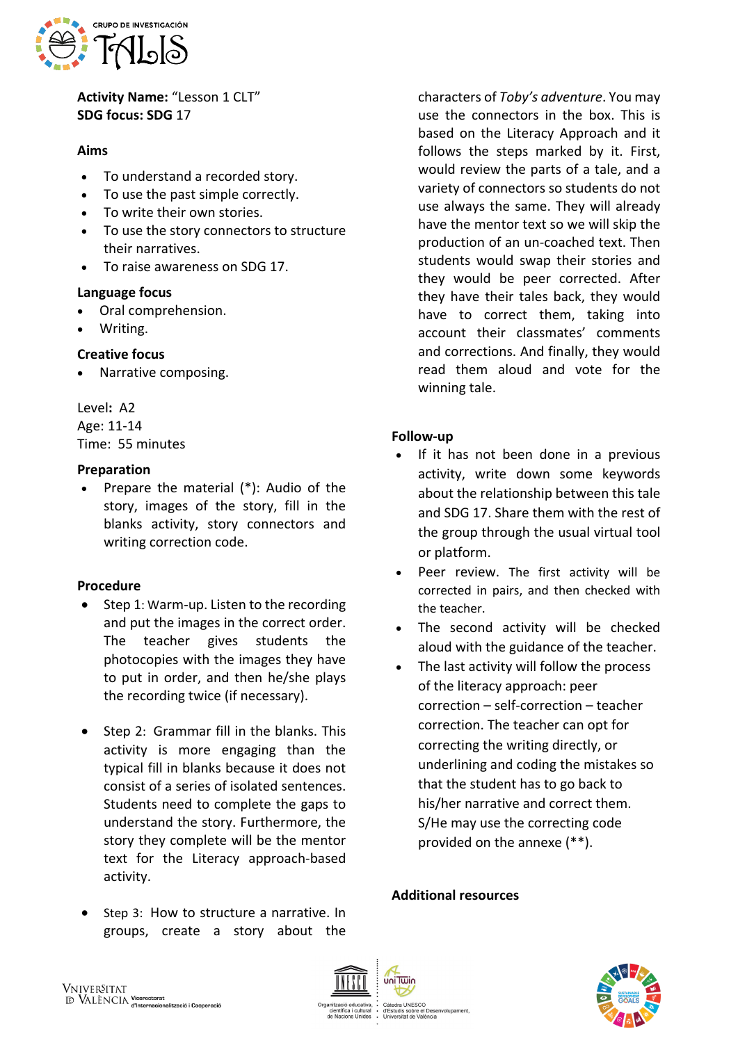

**Activity Name:** "Lesson 1 CLT" **SDG focus: SDG** 17

### **Aims**

- To understand a recorded story.
- To use the past simple correctly.
- To write their own stories.
- To use the story connectors to structure their narratives.
- To raise awareness on SDG 17.

## **Language focus**

- Oral comprehension.
- Writing.

## **Creative focus**

• Narrative composing.

Level**:** A2 Age: 11-14 Time: 55 minutes

## **Preparation**

• Prepare the material (\*): Audio of the story, images of the story, fill in the blanks activity, story connectors and writing correction code.

#### **Procedure**

- Step 1: Warm-up. Listen to the recording and put the images in the correct order. The teacher gives students the photocopies with the images they have to put in order, and then he/she plays the recording twice (if necessary).
- Step 2: Grammar fill in the blanks. This activity is more engaging than the typical fill in blanks because it does not consist of a series of isolated sentences. Students need to complete the gaps to understand the story. Furthermore, the story they complete will be the mentor text for the Literacy approach-based activity.
- Step 3: How to structure a narrative. In groups, create a story about the

characters of *Toby's adventure*. You may use the connectors in the box. This is based on the Literacy Approach and it follows the steps marked by it. First, would review the parts of a tale, and a variety of connectors so students do not use always the same. They will already have the mentor text so we will skip the production of an un-coached text. Then students would swap their stories and they would be peer corrected. After they have their tales back, they would have to correct them, taking into account their classmates' comments and corrections. And finally, they would read them aloud and vote for the winning tale.

## **Follow-up**

- If it has not been done in a previous activity, write down some keywords about the relationship between this tale and SDG 17. Share them with the rest of the group through the usual virtual tool or platform.
- Peer review. The first activity will be corrected in pairs, and then checked with the teacher.
- The second activity will be checked aloud with the guidance of the teacher.
- The last activity will follow the process of the literacy approach: peer correction – self-correction – teacher correction. The teacher can opt for correcting the writing directly, or underlining and coding the mistakes so that the student has to go back to his/her narrative and correct them. S/He may use the correcting code provided on the annexe (\*\*).

## **Additional resources**





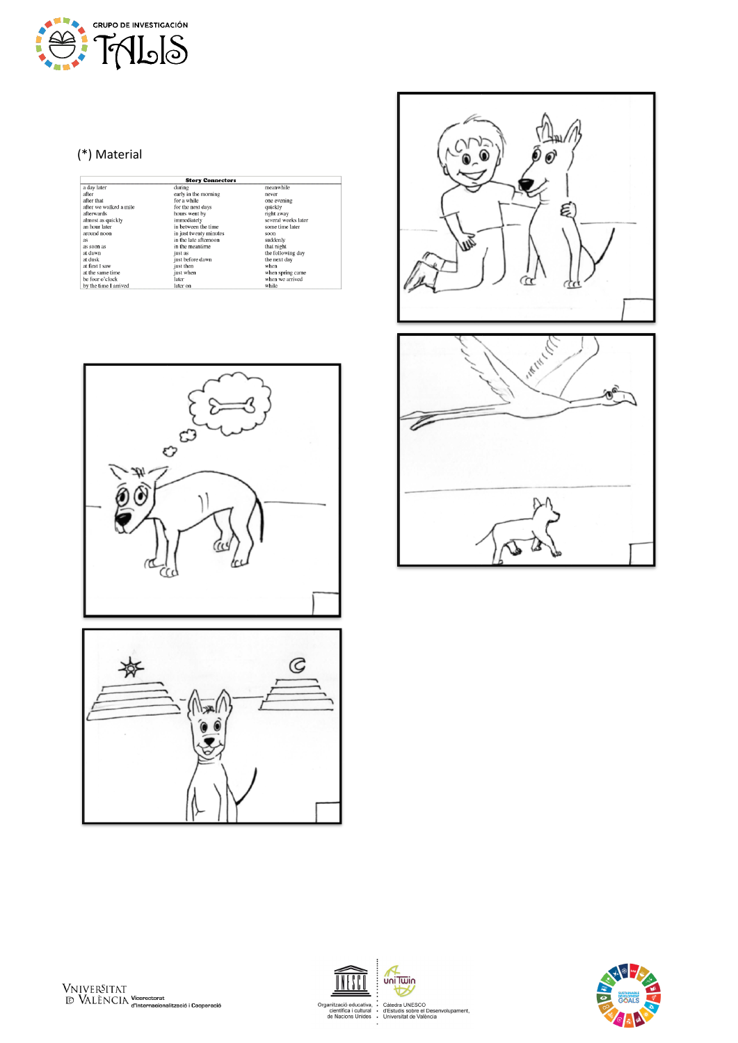

# (\*) Material

| <b>Story Connectors</b> |                        |                     |  |
|-------------------------|------------------------|---------------------|--|
| a day later             | during                 | meanwhile           |  |
| after                   | early in the morning   | never               |  |
| after that              | for a while.           | one evening         |  |
| after we walked a mile  | for the next days      | quickly             |  |
| afterwards              | hours went by          | right away          |  |
| almost as quickly       | immediately            | several weeks later |  |
| an hour later           | in between the time    | some time later     |  |
| around noon             | in just twenty minutes | soon                |  |
| as                      | in the late afternoon  | suddenly            |  |
| as soon as              | in the meantime        | that night          |  |
| at dawn                 | just as                | the following day   |  |
| at dusk                 | just before dawn       | the next day        |  |
| at first I saw          | just then              | when                |  |
| at the same time        | just when              | when spring came    |  |
| be four o'clock         | later                  | when we arrived     |  |
| by the time I arrived   | later on               | while               |  |















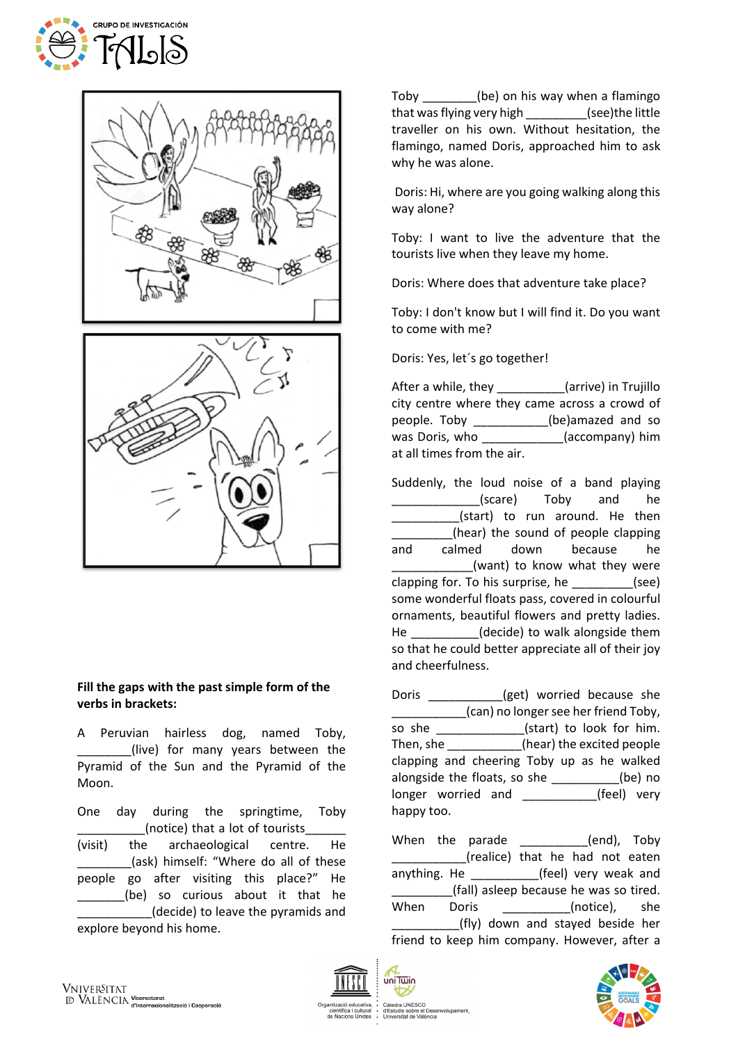





#### **Fill the gaps with the past simple form of the verbs in brackets:**

A Peruvian hairless dog, named Toby, (live) for many years between the Pyramid of the Sun and the Pyramid of the Moon.

One day during the springtime, Toby (notice) that a lot of tourists (visit) the archaeological centre. He \_\_\_\_\_\_\_\_(ask) himself: "Where do all of these people go after visiting this place?" He \_\_\_\_\_\_\_(be) so curious about it that he \_\_\_\_\_\_\_\_\_\_\_(decide) to leave the pyramids and explore beyond his home.

Toby \_\_\_\_\_\_\_\_(be) on his way when a flamingo that was flying very high (see)the little traveller on his own. Without hesitation, the flamingo, named Doris, approached him to ask why he was alone.

Doris: Hi, where are you going walking along this way alone?

Toby: I want to live the adventure that the tourists live when they leave my home.

Doris: Where does that adventure take place?

Toby: I don't know but I will find it. Do you want to come with me?

Doris: Yes, let´s go together!

After a while, they **Exercise** (arrive) in Trujillo city centre where they came across a crowd of people. Toby \_\_\_\_\_\_\_\_\_\_\_(be)amazed and so was Doris, who \_\_\_\_\_\_\_\_\_\_\_\_(accompany) him at all times from the air.

Suddenly, the loud noise of a band playing (scare) Toby and he (start) to run around. He then \_\_\_\_\_\_\_\_\_(hear) the sound of people clapping and calmed down because he (want) to know what they were clapping for. To his surprise, he \_\_\_\_\_\_\_\_\_(see) some wonderful floats pass, covered in colourful ornaments, beautiful flowers and pretty ladies. He \_\_\_\_\_\_\_\_\_\_(decide) to walk alongside them so that he could better appreciate all of their joy and cheerfulness.

Doris \_\_\_\_\_\_\_\_\_\_\_(get) worried because she \_\_\_\_\_\_\_\_\_\_\_(can) no longer see her friend Toby, so she \_\_\_\_\_\_\_\_\_\_\_\_\_\_(start) to look for him. Then, she \_\_\_\_\_\_\_\_\_\_\_(hear) the excited people clapping and cheering Toby up as he walked alongside the floats, so she \_\_\_\_\_\_\_\_\_\_(be) no longer worried and **Fig. (feel)** very happy too.

When the parade \_\_\_\_\_\_\_\_\_(end), Toby \_\_\_\_\_\_\_\_\_\_\_(realice) that he had not eaten anything. He \_\_\_\_\_\_\_\_\_\_\_\_\_(feel) very weak and (fall) asleep because he was so tired. When Doris (notice), she (fly) down and stayed beside her friend to keep him company. However, after a



uni Twin

sitat de València

بر<br>el Desenvolupament